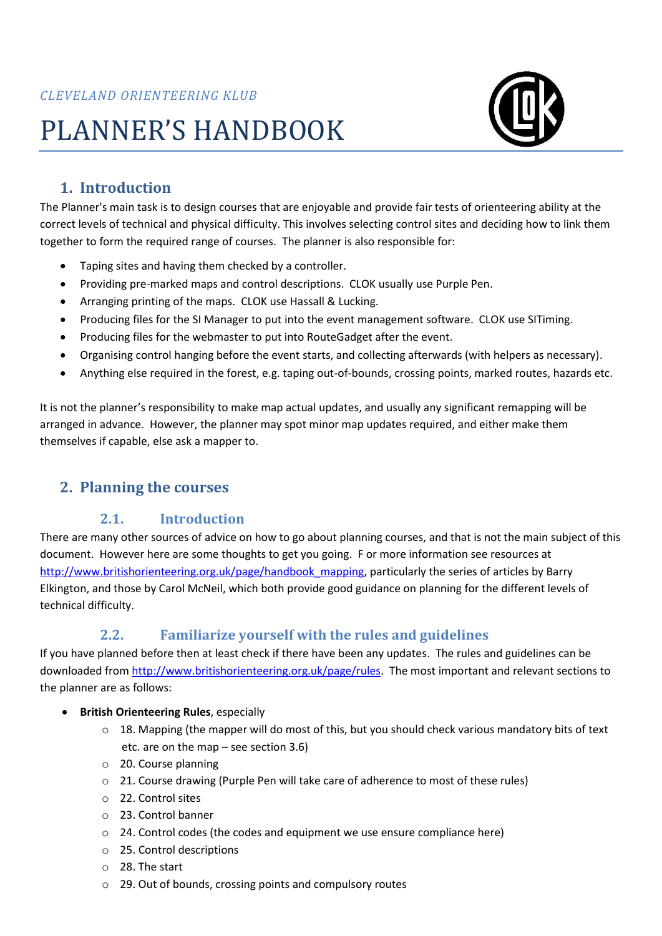# PLANNER'S HANDBOOK



## **1. Introduction**

The Planner's main task is to design courses that are enjoyable and provide fair tests of orienteering ability at the correct levels of technical and physical difficulty. This involves selecting control sites and deciding how to link them together to form the required range of courses. The planner is also responsible for:

- Taping sites and having them checked by a controller.
- Providing pre-marked maps and control descriptions. CLOK usually use Purple Pen.
- Arranging printing of the maps. CLOK use Hassall & Lucking.
- Producing files for the SI Manager to put into the event management software. CLOK use SITiming.
- Producing files for the webmaster to put into RouteGadget after the event.
- Organising control hanging before the event starts, and collecting afterwards (with helpers as necessary).
- Anything else required in the forest, e.g. taping out-of-bounds, crossing points, marked routes, hazards etc.

It is not the planner's responsibility to make map actual updates, and usually any significant remapping will be arranged in advance. However, the planner may spot minor map updates required, and either make them themselves if capable, else ask a mapper to.

## **2. Planning the courses**

## **2.1. Introduction**

There are many other sources of advice on how to go about planning courses, and that is not the main subject of this document. However here are some thoughts to get you going. F or more information see resources at [http://www.britishorienteering.org.uk/page/handbook\\_mapping,](http://www.britishorienteering.org.uk/page/handbook_mapping) particularly the series of articles by Barry Elkington, and those by Carol McNeil, which both provide good guidance on planning for the different levels of technical difficulty.

## **2.2. Familiarize yourself with the rules and guidelines**

If you have planned before then at least check if there have been any updates. The rules and guidelines can be downloaded fro[m http://www.britishorienteering.org.uk/page/rules.](http://www.britishorienteering.org.uk/page/rules) The most important and relevant sections to the planner are as follows:

- **British Orienteering Rules**, especially
	- $\circ$  18. Mapping (the mapper will do most of this, but you should check various mandatory bits of text etc. are on the map – see section [3.6\)](#page-6-0)
	- o 20. Course planning
	- $\circ$  21. Course drawing (Purple Pen will take care of adherence to most of these rules)
	- o 22. Control sites
	- o 23. Control banner
	- o 24. Control codes (the codes and equipment we use ensure compliance here)
	- o 25. Control descriptions
	- o 28. The start
	- o 29. Out of bounds, crossing points and compulsory routes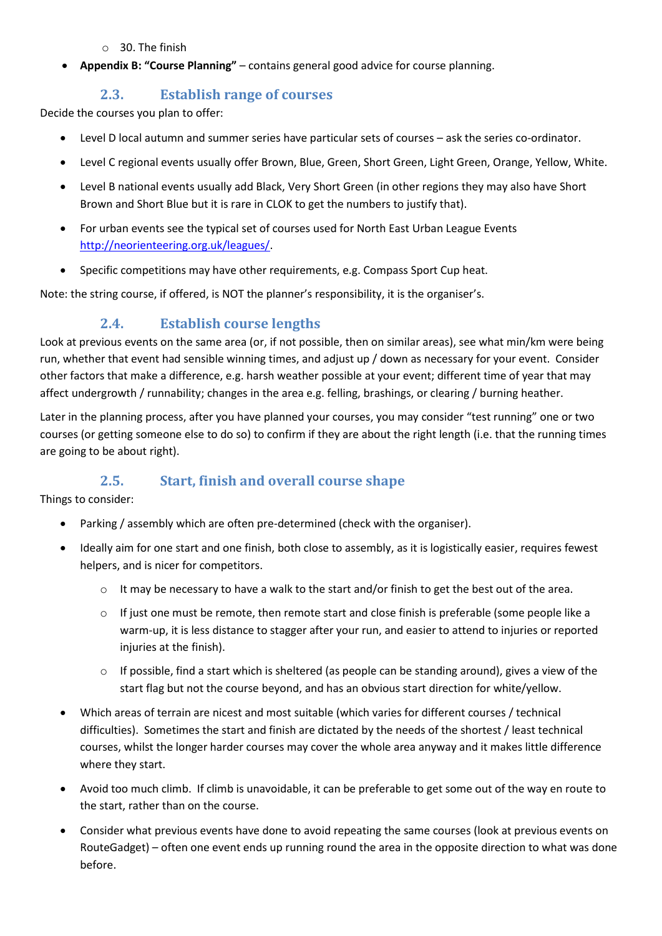#### o 30. The finish

• **Appendix B: "Course Planning"** – contains general good advice for course planning.

#### **2.3. Establish range of courses**

Decide the courses you plan to offer:

- Level D local autumn and summer series have particular sets of courses ask the series co-ordinator.
- Level C regional events usually offer Brown, Blue, Green, Short Green, Light Green, Orange, Yellow, White.
- Level B national events usually add Black, Very Short Green (in other regions they may also have Short Brown and Short Blue but it is rare in CLOK to get the numbers to justify that).
- For urban events see the typical set of courses used for North East Urban League Events [http://neorienteering.org.uk/leagues/.](http://neorienteering.org.uk/leagues/)
- Specific competitions may have other requirements, e.g. Compass Sport Cup heat.

Note: the string course, if offered, is NOT the planner's responsibility, it is the organiser's.

## **2.4. Establish course lengths**

Look at previous events on the same area (or, if not possible, then on similar areas), see what min/km were being run, whether that event had sensible winning times, and adjust up / down as necessary for your event. Consider other factors that make a difference, e.g. harsh weather possible at your event; different time of year that may affect undergrowth / runnability; changes in the area e.g. felling, brashings, or clearing / burning heather.

Later in the planning process, after you have planned your courses, you may consider "test running" one or two courses (or getting someone else to do so) to confirm if they are about the right length (i.e. that the running times are going to be about right).

## **2.5. Start, finish and overall course shape**

Things to consider:

- Parking / assembly which are often pre-determined (check with the organiser).
- Ideally aim for one start and one finish, both close to assembly, as it is logistically easier, requires fewest helpers, and is nicer for competitors.
	- $\circ$  It may be necessary to have a walk to the start and/or finish to get the best out of the area.
	- o If just one must be remote, then remote start and close finish is preferable (some people like a warm-up, it is less distance to stagger after your run, and easier to attend to injuries or reported injuries at the finish).
	- $\circ$  If possible, find a start which is sheltered (as people can be standing around), gives a view of the start flag but not the course beyond, and has an obvious start direction for white/yellow.
- Which areas of terrain are nicest and most suitable (which varies for different courses / technical difficulties). Sometimes the start and finish are dictated by the needs of the shortest / least technical courses, whilst the longer harder courses may cover the whole area anyway and it makes little difference where they start.
- Avoid too much climb. If climb is unavoidable, it can be preferable to get some out of the way en route to the start, rather than on the course.
- Consider what previous events have done to avoid repeating the same courses (look at previous events on RouteGadget) – often one event ends up running round the area in the opposite direction to what was done before.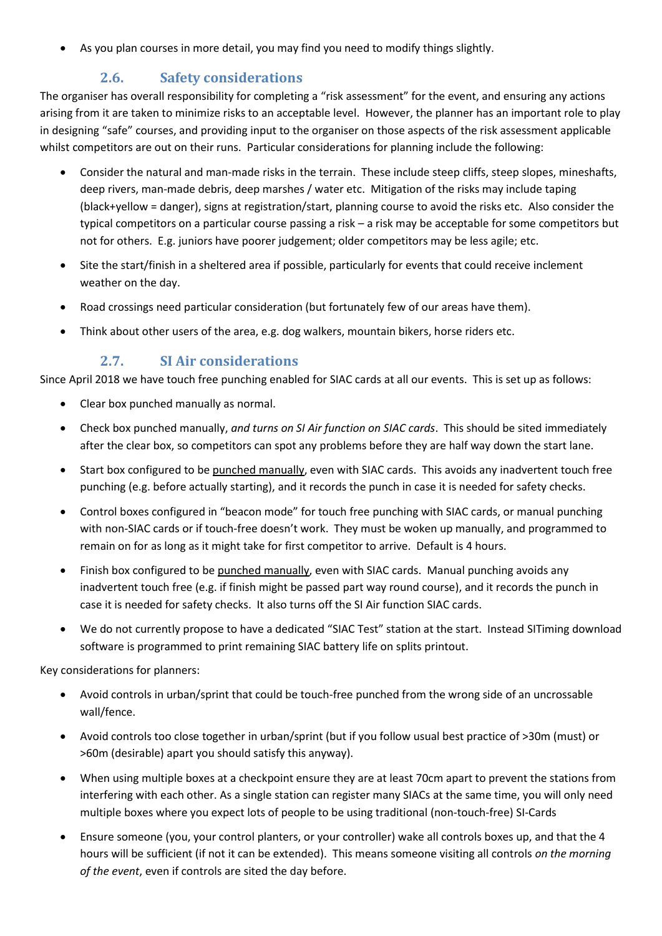• As you plan courses in more detail, you may find you need to modify things slightly.

## **2.6. Safety considerations**

The organiser has overall responsibility for completing a "risk assessment" for the event, and ensuring any actions arising from it are taken to minimize risks to an acceptable level. However, the planner has an important role to play in designing "safe" courses, and providing input to the organiser on those aspects of the risk assessment applicable whilst competitors are out on their runs. Particular considerations for planning include the following:

- Consider the natural and man-made risks in the terrain. These include steep cliffs, steep slopes, mineshafts, deep rivers, man-made debris, deep marshes / water etc. Mitigation of the risks may include taping (black+yellow = danger), signs at registration/start, planning course to avoid the risks etc. Also consider the typical competitors on a particular course passing a risk – a risk may be acceptable for some competitors but not for others. E.g. juniors have poorer judgement; older competitors may be less agile; etc.
- Site the start/finish in a sheltered area if possible, particularly for events that could receive inclement weather on the day.
- Road crossings need particular consideration (but fortunately few of our areas have them).
- Think about other users of the area, e.g. dog walkers, mountain bikers, horse riders etc.

## **2.7. SI Air considerations**

Since April 2018 we have touch free punching enabled for SIAC cards at all our events. This is set up as follows:

- Clear box punched manually as normal.
- Check box punched manually, *and turns on SI Air function on SIAC cards*. This should be sited immediately after the clear box, so competitors can spot any problems before they are half way down the start lane.
- Start box configured to be punched manually, even with SIAC cards. This avoids any inadvertent touch free punching (e.g. before actually starting), and it records the punch in case it is needed for safety checks.
- Control boxes configured in "beacon mode" for touch free punching with SIAC cards, or manual punching with non-SIAC cards or if touch-free doesn't work. They must be woken up manually, and programmed to remain on for as long as it might take for first competitor to arrive. Default is 4 hours.
- Finish box configured to be punched manually, even with SIAC cards. Manual punching avoids any inadvertent touch free (e.g. if finish might be passed part way round course), and it records the punch in case it is needed for safety checks. It also turns off the SI Air function SIAC cards.
- We do not currently propose to have a dedicated "SIAC Test" station at the start. Instead SITiming download software is programmed to print remaining SIAC battery life on splits printout.

Key considerations for planners:

- Avoid controls in urban/sprint that could be touch-free punched from the wrong side of an uncrossable wall/fence.
- Avoid controls too close together in urban/sprint (but if you follow usual best practice of >30m (must) or >60m (desirable) apart you should satisfy this anyway).
- When using multiple boxes at a checkpoint ensure they are at least 70cm apart to prevent the stations from interfering with each other. As a single station can register many SIACs at the same time, you will only need multiple boxes where you expect lots of people to be using traditional (non-touch-free) SI-Cards
- Ensure someone (you, your control planters, or your controller) wake all controls boxes up, and that the 4 hours will be sufficient (if not it can be extended). This means someone visiting all controls *on the morning of the event*, even if controls are sited the day before.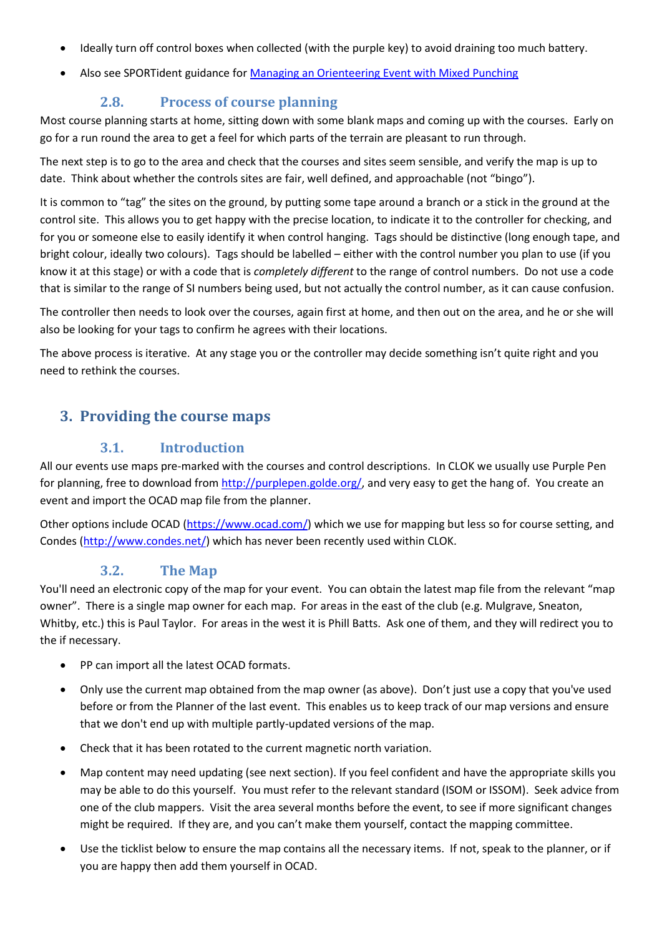- Ideally turn off control boxes when collected (with the purple key) to avoid draining too much battery.
- Also see SPORTident guidance for Managing [an Orienteering Event with Mixed Punching](https://www.sportident.co.uk/sitiming/ManagingOrienteeringEventWithMixedPunching.pdf)

#### **2.8. Process of course planning**

Most course planning starts at home, sitting down with some blank maps and coming up with the courses. Early on go for a run round the area to get a feel for which parts of the terrain are pleasant to run through.

The next step is to go to the area and check that the courses and sites seem sensible, and verify the map is up to date. Think about whether the controls sites are fair, well defined, and approachable (not "bingo").

It is common to "tag" the sites on the ground, by putting some tape around a branch or a stick in the ground at the control site. This allows you to get happy with the precise location, to indicate it to the controller for checking, and for you or someone else to easily identify it when control hanging. Tags should be distinctive (long enough tape, and bright colour, ideally two colours). Tags should be labelled – either with the control number you plan to use (if you know it at this stage) or with a code that is *completely different* to the range of control numbers. Do not use a code that is similar to the range of SI numbers being used, but not actually the control number, as it can cause confusion.

The controller then needs to look over the courses, again first at home, and then out on the area, and he or she will also be looking for your tags to confirm he agrees with their locations.

The above process is iterative. At any stage you or the controller may decide something isn't quite right and you need to rethink the courses.

## **3. Providing the course maps**

#### **3.1. Introduction**

All our events use maps pre-marked with the courses and control descriptions. In CLOK we usually use Purple Pen for planning, free to download from [http://purplepen.golde.org/,](http://purplepen.golde.org/) and very easy to get the hang of. You create an event and import the OCAD map file from the planner.

Other options include OCAD [\(https://www.ocad.com/\)](https://www.ocad.com/) which we use for mapping but less so for course setting, and Condes [\(http://www.condes.net/\)](http://www.condes.net/) which has never been recently used within CLOK.

#### **3.2. The Map**

<span id="page-3-0"></span>You'll need an electronic copy of the map for your event. You can obtain the latest map file from the relevant "map owner". There is a single map owner for each map. For areas in the east of the club (e.g. Mulgrave, Sneaton, Whitby, etc.) this is Paul Taylor. For areas in the west it is Phill Batts. Ask one of them, and they will redirect you to the if necessary.

- PP can import all the latest OCAD formats.
- Only use the current map obtained from the map owner (as above). Don't just use a copy that you've used before or from the Planner of the last event. This enables us to keep track of our map versions and ensure that we don't end up with multiple partly-updated versions of the map.
- Check that it has been rotated to the current magnetic north variation.
- Map content may need updating (see next section). If you feel confident and have the appropriate skills you may be able to do this yourself. You must refer to the relevant standard (ISOM or ISSOM). Seek advice from one of the club mappers. Visit the area several months before the event, to see if more significant changes might be required. If they are, and you can't make them yourself, contact the mapping committee.
- Use the ticklist below to ensure the map contains all the necessary items. If not, speak to the planner, or if you are happy then add them yourself in OCAD.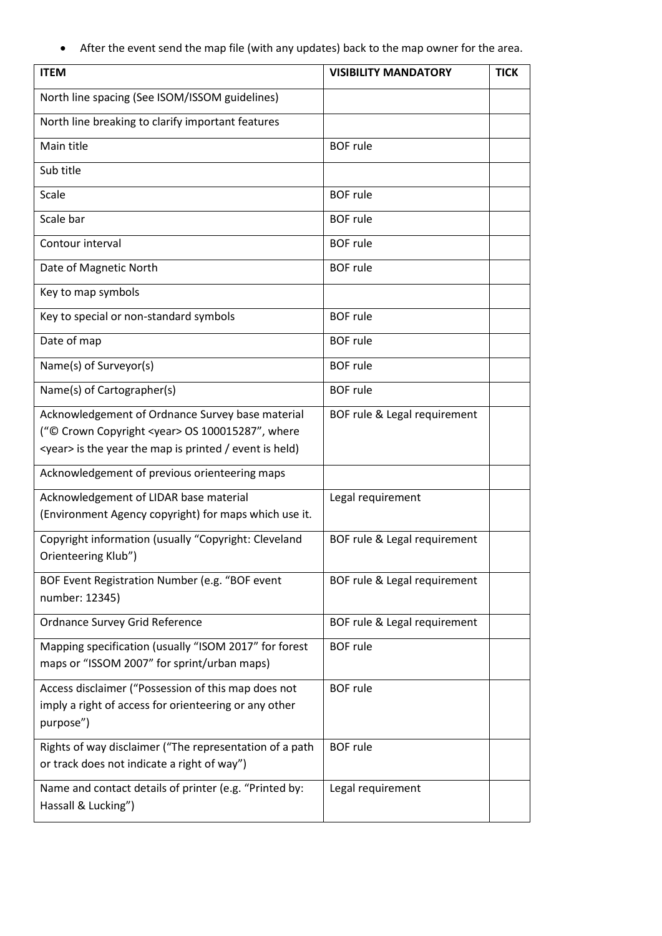• After the event send the map file (with any updates) back to the map owner for the area.

| <b>ITEM</b>                                                                                                                                                                  | <b>VISIBILITY MANDATORY</b>  | <b>TICK</b> |
|------------------------------------------------------------------------------------------------------------------------------------------------------------------------------|------------------------------|-------------|
| North line spacing (See ISOM/ISSOM guidelines)                                                                                                                               |                              |             |
| North line breaking to clarify important features                                                                                                                            |                              |             |
| Main title                                                                                                                                                                   | <b>BOF</b> rule              |             |
| Sub title                                                                                                                                                                    |                              |             |
| Scale                                                                                                                                                                        | <b>BOF rule</b>              |             |
| Scale bar                                                                                                                                                                    | <b>BOF</b> rule              |             |
| Contour interval                                                                                                                                                             | <b>BOF</b> rule              |             |
| Date of Magnetic North                                                                                                                                                       | <b>BOF</b> rule              |             |
| Key to map symbols                                                                                                                                                           |                              |             |
| Key to special or non-standard symbols                                                                                                                                       | <b>BOF</b> rule              |             |
| Date of map                                                                                                                                                                  | <b>BOF</b> rule              |             |
| Name(s) of Surveyor(s)                                                                                                                                                       | <b>BOF</b> rule              |             |
| Name(s) of Cartographer(s)                                                                                                                                                   | <b>BOF</b> rule              |             |
| Acknowledgement of Ordnance Survey base material<br>("© Crown Copyright <year> OS 100015287", where<br/><year> is the year the map is printed / event is held)</year></year> | BOF rule & Legal requirement |             |
| Acknowledgement of previous orienteering maps                                                                                                                                |                              |             |
| Acknowledgement of LIDAR base material                                                                                                                                       | Legal requirement            |             |
| (Environment Agency copyright) for maps which use it.                                                                                                                        |                              |             |
| Copyright information (usually "Copyright: Cleveland<br>Orienteering Klub")                                                                                                  | BOF rule & Legal requirement |             |
| BOF Event Registration Number (e.g. "BOF event<br>number: 12345)                                                                                                             | BOF rule & Legal requirement |             |
| Ordnance Survey Grid Reference                                                                                                                                               | BOF rule & Legal requirement |             |
| Mapping specification (usually "ISOM 2017" for forest<br>maps or "ISSOM 2007" for sprint/urban maps)                                                                         | <b>BOF</b> rule              |             |
| Access disclaimer ("Possession of this map does not<br>imply a right of access for orienteering or any other<br>purpose")                                                    | <b>BOF rule</b>              |             |
| Rights of way disclaimer ("The representation of a path<br>or track does not indicate a right of way")                                                                       | <b>BOF</b> rule              |             |
| Name and contact details of printer (e.g. "Printed by:<br>Hassall & Lucking")                                                                                                | Legal requirement            |             |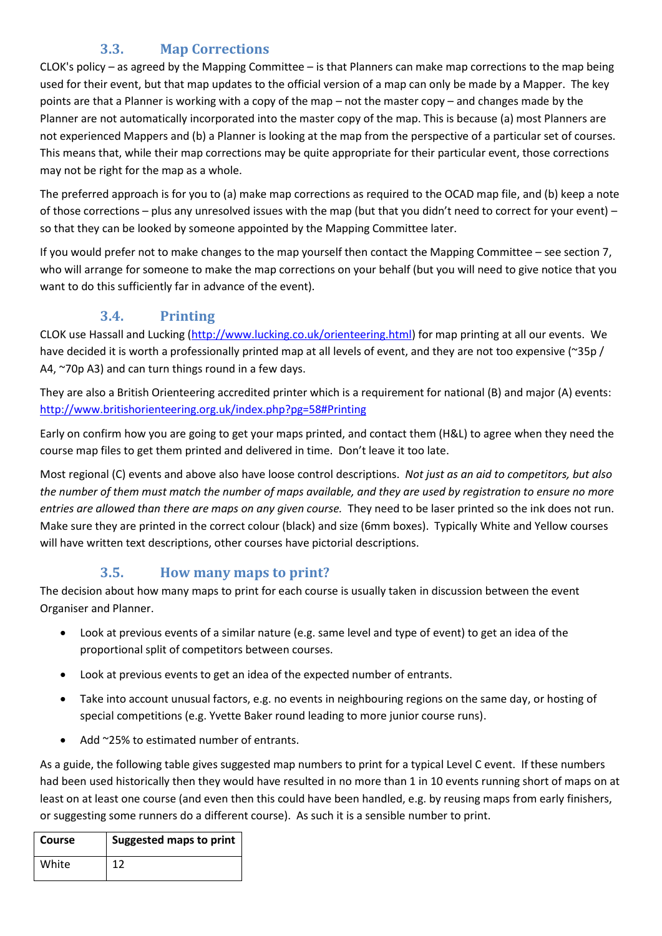## **3.3. Map Corrections**

CLOK's policy – as agreed by the Mapping Committee – is that Planners can make map corrections to the map being used for their event, but that map updates to the official version of a map can only be made by a Mapper. The key points are that a Planner is working with a copy of the map – not the master copy – and changes made by the Planner are not automatically incorporated into the master copy of the map. This is because (a) most Planners are not experienced Mappers and (b) a Planner is looking at the map from the perspective of a particular set of courses. This means that, while their map corrections may be quite appropriate for their particular event, those corrections may not be right for the map as a whole.

The preferred approach is for you to (a) make map corrections as required to the OCAD map file, and (b) keep a note of those corrections – plus any unresolved issues with the map (but that you didn't need to correct for your event) – so that they can be looked by someone appointed by the Mapping Committee later.

If you would prefer not to make changes to the map yourself then contact the Mapping Committee – see section [7,](#page-10-0) who will arrange for someone to make the map corrections on your behalf (but you will need to give notice that you want to do this sufficiently far in advance of the event).

## **3.4. Printing**

CLOK use Hassall and Lucking [\(http://www.lucking.co.uk/orienteering.html\)](http://www.lucking.co.uk/orienteering.html) for map printing at all our events. We have decided it is worth a professionally printed map at all levels of event, and they are not too expensive (~35p / A4, ~70p A3) and can turn things round in a few days.

They are also a British Orienteering accredited printer which is a requirement for national (B) and major (A) events: <http://www.britishorienteering.org.uk/index.php?pg=58#Printing>

Early on confirm how you are going to get your maps printed, and contact them (H&L) to agree when they need the course map files to get them printed and delivered in time. Don't leave it too late.

Most regional (C) events and above also have loose control descriptions. *Not just as an aid to competitors, but also the number of them must match the number of maps available, and they are used by registration to ensure no more entries are allowed than there are maps on any given course.* They need to be laser printed so the ink does not run. Make sure they are printed in the correct colour (black) and size (6mm boxes). Typically White and Yellow courses will have written text descriptions, other courses have pictorial descriptions.

## **3.5. How many maps to print?**

The decision about how many maps to print for each course is usually taken in discussion between the event Organiser and Planner.

- Look at previous events of a similar nature (e.g. same level and type of event) to get an idea of the proportional split of competitors between courses.
- Look at previous events to get an idea of the expected number of entrants.
- Take into account unusual factors, e.g. no events in neighbouring regions on the same day, or hosting of special competitions (e.g. Yvette Baker round leading to more junior course runs).
- Add ~25% to estimated number of entrants.

As a guide, the following table gives suggested map numbers to print for a typical Level C event. If these numbers had been used historically then they would have resulted in no more than 1 in 10 events running short of maps on at least on at least one course (and even then this could have been handled, e.g. by reusing maps from early finishers, or suggesting some runners do a different course). As such it is a sensible number to print.

| Course | <b>Suggested maps to print</b> |
|--------|--------------------------------|
| White  | 1ว                             |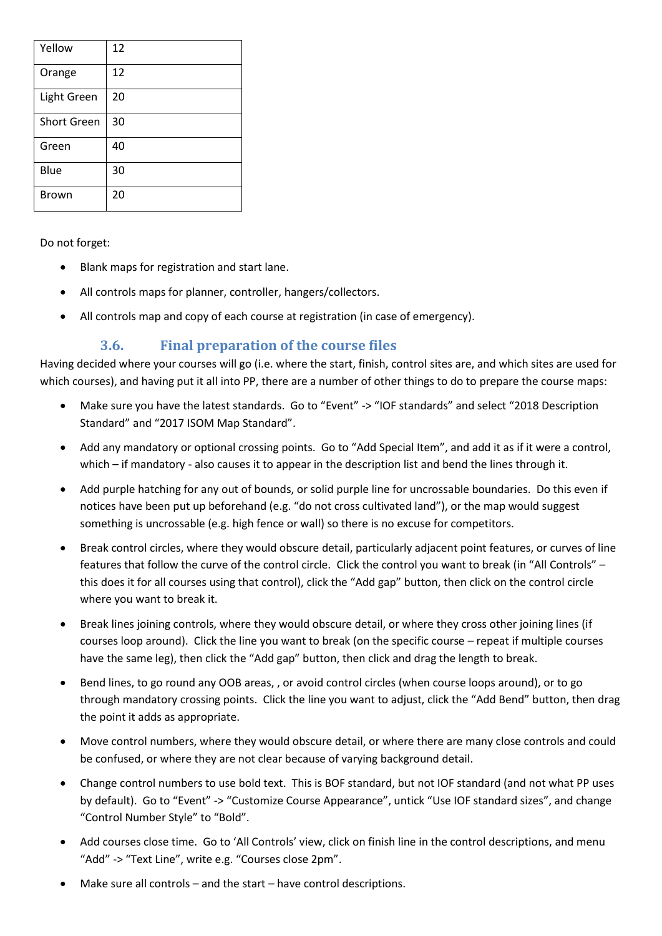| Yellow             | 12 |
|--------------------|----|
| Orange             | 12 |
| Light Green        | 20 |
| <b>Short Green</b> | 30 |
| Green              | 40 |
| Blue               | 30 |
| <b>Brown</b>       | 20 |

Do not forget:

- Blank maps for registration and start lane.
- All controls maps for planner, controller, hangers/collectors.
- All controls map and copy of each course at registration (in case of emergency).

## **3.6. Final preparation of the course files**

<span id="page-6-0"></span>Having decided where your courses will go (i.e. where the start, finish, control sites are, and which sites are used for which courses), and having put it all into PP, there are a number of other things to do to prepare the course maps:

- Make sure you have the latest standards. Go to "Event" -> "IOF standards" and select "2018 Description Standard" and "2017 ISOM Map Standard".
- Add any mandatory or optional crossing points. Go to "Add Special Item", and add it as if it were a control, which – if mandatory - also causes it to appear in the description list and bend the lines through it.
- Add purple hatching for any out of bounds, or solid purple line for uncrossable boundaries. Do this even if notices have been put up beforehand (e.g. "do not cross cultivated land"), or the map would suggest something is uncrossable (e.g. high fence or wall) so there is no excuse for competitors.
- Break control circles, where they would obscure detail, particularly adjacent point features, or curves of line features that follow the curve of the control circle. Click the control you want to break (in "All Controls" – this does it for all courses using that control), click the "Add gap" button, then click on the control circle where you want to break it.
- Break lines joining controls, where they would obscure detail, or where they cross other joining lines (if courses loop around). Click the line you want to break (on the specific course – repeat if multiple courses have the same leg), then click the "Add gap" button, then click and drag the length to break.
- Bend lines, to go round any OOB areas, , or avoid control circles (when course loops around), or to go through mandatory crossing points. Click the line you want to adjust, click the "Add Bend" button, then drag the point it adds as appropriate.
- Move control numbers, where they would obscure detail, or where there are many close controls and could be confused, or where they are not clear because of varying background detail.
- Change control numbers to use bold text. This is BOF standard, but not IOF standard (and not what PP uses by default). Go to "Event" -> "Customize Course Appearance", untick "Use IOF standard sizes", and change "Control Number Style" to "Bold".
- Add courses close time. Go to 'All Controls' view, click on finish line in the control descriptions, and menu "Add" -> "Text Line", write e.g. "Courses close 2pm".
- Make sure all controls and the start have control descriptions.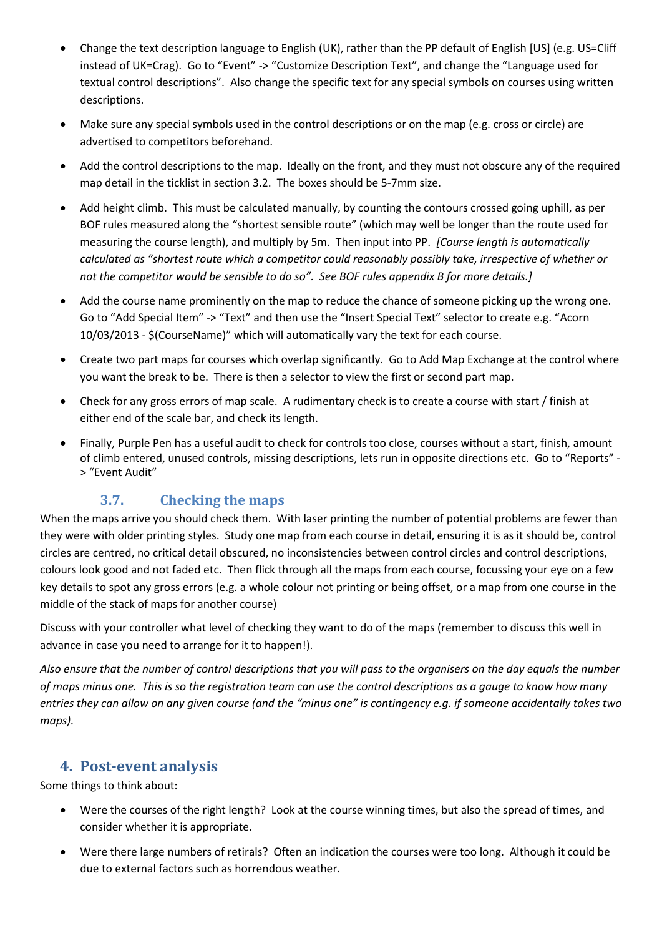- Change the text description language to English (UK), rather than the PP default of English [US] (e.g. US=Cliff instead of UK=Crag). Go to "Event" -> "Customize Description Text", and change the "Language used for textual control descriptions". Also change the specific text for any special symbols on courses using written descriptions.
- Make sure any special symbols used in the control descriptions or on the map (e.g. cross or circle) are advertised to competitors beforehand.
- Add the control descriptions to the map. Ideally on the front, and they must not obscure any of the required map detail in the ticklist in section [3.2.](#page-3-0) The boxes should be 5-7mm size.
- Add height climb. This must be calculated manually, by counting the contours crossed going uphill, as per BOF rules measured along the "shortest sensible route" (which may well be longer than the route used for measuring the course length), and multiply by 5m. Then input into PP. *[Course length is automatically calculated as "shortest route which a competitor could reasonably possibly take, irrespective of whether or not the competitor would be sensible to do so". See BOF rules appendix B for more details.]*
- Add the course name prominently on the map to reduce the chance of someone picking up the wrong one. Go to "Add Special Item" -> "Text" and then use the "Insert Special Text" selector to create e.g. "Acorn 10/03/2013 - \$(CourseName)" which will automatically vary the text for each course.
- Create two part maps for courses which overlap significantly. Go to Add Map Exchange at the control where you want the break to be. There is then a selector to view the first or second part map.
- Check for any gross errors of map scale. A rudimentary check is to create a course with start / finish at either end of the scale bar, and check its length.
- Finally, Purple Pen has a useful audit to check for controls too close, courses without a start, finish, amount of climb entered, unused controls, missing descriptions, lets run in opposite directions etc. Go to "Reports" - > "Event Audit"

## **3.7. Checking the maps**

When the maps arrive you should check them. With laser printing the number of potential problems are fewer than they were with older printing styles. Study one map from each course in detail, ensuring it is as it should be, control circles are centred, no critical detail obscured, no inconsistencies between control circles and control descriptions, colours look good and not faded etc. Then flick through all the maps from each course, focussing your eye on a few key details to spot any gross errors (e.g. a whole colour not printing or being offset, or a map from one course in the middle of the stack of maps for another course)

Discuss with your controller what level of checking they want to do of the maps (remember to discuss this well in advance in case you need to arrange for it to happen!).

*Also ensure that the number of control descriptions that you will pass to the organisers on the day equals the number of maps minus one. This is so the registration team can use the control descriptions as a gauge to know how many entries they can allow on any given course (and the "minus one" is contingency e.g. if someone accidentally takes two maps).*

#### **4. Post-event analysis**

Some things to think about:

- Were the courses of the right length? Look at the course winning times, but also the spread of times, and consider whether it is appropriate.
- Were there large numbers of retirals? Often an indication the courses were too long. Although it could be due to external factors such as horrendous weather.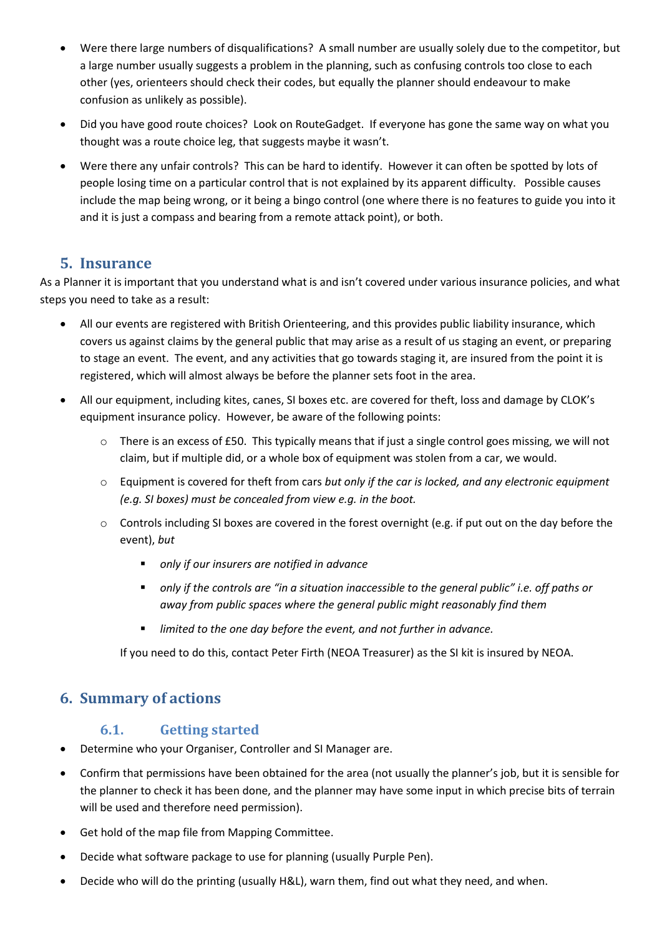- Were there large numbers of disqualifications? A small number are usually solely due to the competitor, but a large number usually suggests a problem in the planning, such as confusing controls too close to each other (yes, orienteers should check their codes, but equally the planner should endeavour to make confusion as unlikely as possible).
- Did you have good route choices? Look on RouteGadget. If everyone has gone the same way on what you thought was a route choice leg, that suggests maybe it wasn't.
- Were there any unfair controls? This can be hard to identify. However it can often be spotted by lots of people losing time on a particular control that is not explained by its apparent difficulty. Possible causes include the map being wrong, or it being a bingo control (one where there is no features to guide you into it and it is just a compass and bearing from a remote attack point), or both.

## **5. Insurance**

As a Planner it is important that you understand what is and isn't covered under various insurance policies, and what steps you need to take as a result:

- All our events are registered with British Orienteering, and this provides public liability insurance, which covers us against claims by the general public that may arise as a result of us staging an event, or preparing to stage an event. The event, and any activities that go towards staging it, are insured from the point it is registered, which will almost always be before the planner sets foot in the area.
- All our equipment, including kites, canes, SI boxes etc. are covered for theft, loss and damage by CLOK's equipment insurance policy. However, be aware of the following points:
	- $\circ$  There is an excess of £50. This typically means that if just a single control goes missing, we will not claim, but if multiple did, or a whole box of equipment was stolen from a car, we would.
	- o Equipment is covered for theft from cars *but only if the car is locked, and any electronic equipment (e.g. SI boxes) must be concealed from view e.g. in the boot.*
	- $\circ$  Controls including SI boxes are covered in the forest overnight (e.g. if put out on the day before the event), *but* 
		- *only if our insurers are notified in advance*
		- *only if the controls are "in a situation inaccessible to the general public" i.e. off paths or away from public spaces where the general public might reasonably find them*
		- *limited to the one day before the event, and not further in advance.*

If you need to do this, contact Peter Firth (NEOA Treasurer) as the SI kit is insured by NEOA.

## **6. Summary of actions**

#### **6.1. Getting started**

- Determine who your Organiser, Controller and SI Manager are.
- Confirm that permissions have been obtained for the area (not usually the planner's job, but it is sensible for the planner to check it has been done, and the planner may have some input in which precise bits of terrain will be used and therefore need permission).
- Get hold of the map file from Mapping Committee.
- Decide what software package to use for planning (usually Purple Pen).
- Decide who will do the printing (usually H&L), warn them, find out what they need, and when.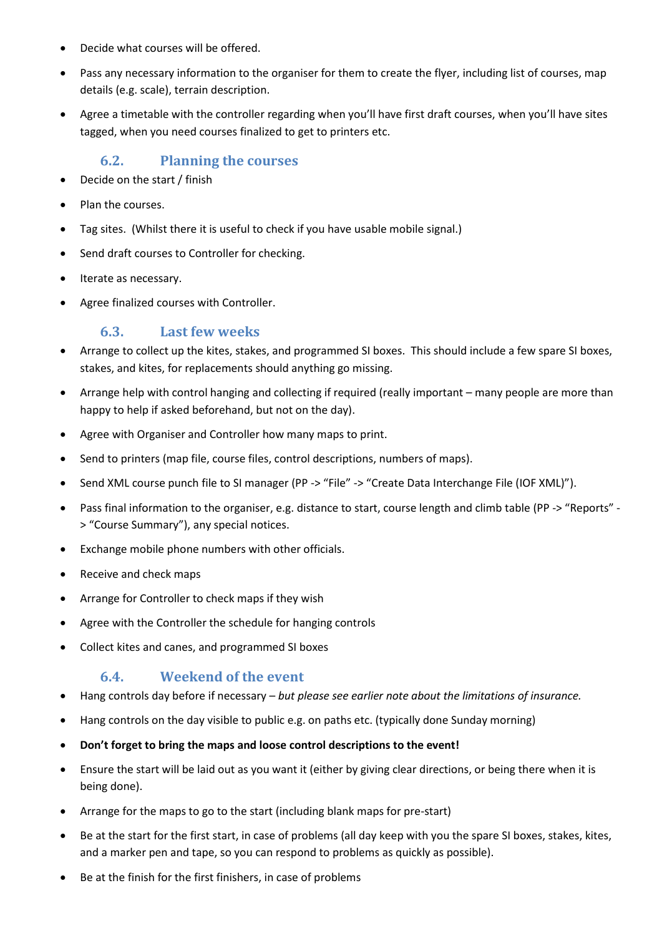- Decide what courses will be offered.
- Pass any necessary information to the organiser for them to create the flyer, including list of courses, map details (e.g. scale), terrain description.
- Agree a timetable with the controller regarding when you'll have first draft courses, when you'll have sites tagged, when you need courses finalized to get to printers etc.

#### **6.2. Planning the courses**

- Decide on the start / finish
- Plan the courses.
- Tag sites. (Whilst there it is useful to check if you have usable mobile signal.)
- Send draft courses to Controller for checking.
- Iterate as necessary.
- Agree finalized courses with Controller.

#### **6.3. Last few weeks**

- Arrange to collect up the kites, stakes, and programmed SI boxes. This should include a few spare SI boxes, stakes, and kites, for replacements should anything go missing.
- Arrange help with control hanging and collecting if required (really important many people are more than happy to help if asked beforehand, but not on the day).
- Agree with Organiser and Controller how many maps to print.
- Send to printers (map file, course files, control descriptions, numbers of maps).
- Send XML course punch file to SI manager (PP -> "File" -> "Create Data Interchange File (IOF XML)").
- Pass final information to the organiser, e.g. distance to start, course length and climb table (PP -> "Reports" > "Course Summary"), any special notices.
- Exchange mobile phone numbers with other officials.
- Receive and check maps
- Arrange for Controller to check maps if they wish
- Agree with the Controller the schedule for hanging controls
- Collect kites and canes, and programmed SI boxes

#### **6.4. Weekend of the event**

- Hang controls day before if necessary *but please see earlier note about the limitations of insurance.*
- Hang controls on the day visible to public e.g. on paths etc. (typically done Sunday morning)
- **Don't forget to bring the maps and loose control descriptions to the event!**
- Ensure the start will be laid out as you want it (either by giving clear directions, or being there when it is being done).
- Arrange for the maps to go to the start (including blank maps for pre-start)
- Be at the start for the first start, in case of problems (all day keep with you the spare SI boxes, stakes, kites, and a marker pen and tape, so you can respond to problems as quickly as possible).
- Be at the finish for the first finishers, in case of problems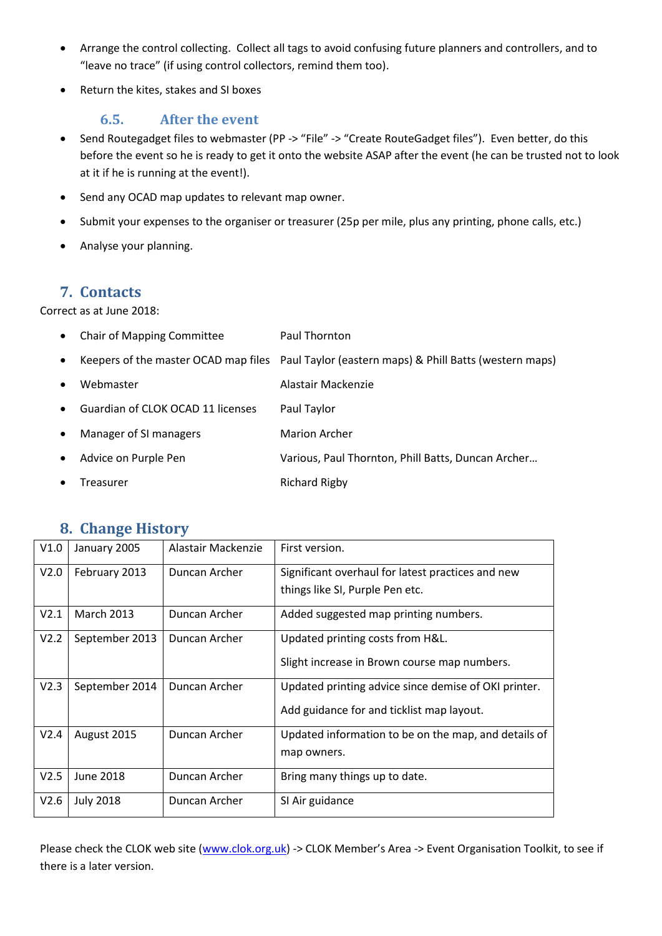- Arrange the control collecting. Collect all tags to avoid confusing future planners and controllers, and to "leave no trace" (if using control collectors, remind them too).
- Return the kites, stakes and SI boxes

#### **6.5. After the event**

- Send Routegadget files to webmaster (PP -> "File" -> "Create RouteGadget files"). Even better, do this before the event so he is ready to get it onto the website ASAP after the event (he can be trusted not to look at it if he is running at the event!).
- Send any OCAD map updates to relevant map owner.
- Submit your expenses to the organiser or treasurer (25p per mile, plus any printing, phone calls, etc.)
- Analyse your planning.

## <span id="page-10-0"></span>**7. Contacts**

Correct as at June 2018:

| $\bullet$ | <b>Chair of Mapping Committee</b> | Paul Thornton                                                                                |
|-----------|-----------------------------------|----------------------------------------------------------------------------------------------|
| $\bullet$ |                                   | Keepers of the master OCAD map files Paul Taylor (eastern maps) & Phill Batts (western maps) |
| $\bullet$ | Webmaster                         | Alastair Mackenzie                                                                           |
| $\bullet$ | Guardian of CLOK OCAD 11 licenses | Paul Taylor                                                                                  |
| $\bullet$ | Manager of SI managers            | <b>Marion Archer</b>                                                                         |
| $\bullet$ | Advice on Purple Pen              | Various, Paul Thornton, Phill Batts, Duncan Archer                                           |
|           | Treasurer                         | <b>Richard Rigby</b>                                                                         |

#### **8. Change History**

| V1.0 | January 2005      | Alastair Mackenzie | First version.                                       |
|------|-------------------|--------------------|------------------------------------------------------|
| V2.0 | February 2013     | Duncan Archer      | Significant overhaul for latest practices and new    |
|      |                   |                    | things like SI, Purple Pen etc.                      |
| V2.1 | <b>March 2013</b> | Duncan Archer      | Added suggested map printing numbers.                |
| V2.2 | September 2013    | Duncan Archer      | Updated printing costs from H&L.                     |
|      |                   |                    | Slight increase in Brown course map numbers.         |
| V2.3 | September 2014    | Duncan Archer      | Updated printing advice since demise of OKI printer. |
|      |                   |                    | Add guidance for and ticklist map layout.            |
| V2.4 | August 2015       | Duncan Archer      | Updated information to be on the map, and details of |
|      |                   |                    | map owners.                                          |
| V2.5 | <b>June 2018</b>  | Duncan Archer      | Bring many things up to date.                        |
| V2.6 | <b>July 2018</b>  | Duncan Archer      | SI Air guidance                                      |

Please check the CLOK web site [\(www.clok.org.uk\)](http://www.clok.org.uk/) -> CLOK Member's Area -> Event Organisation Toolkit, to see if there is a later version.